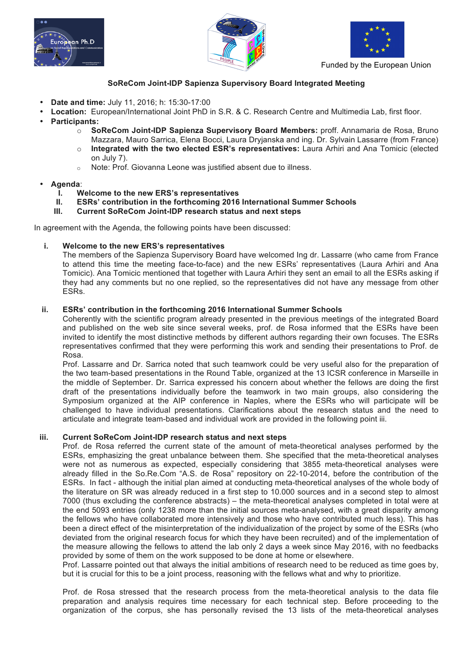





Funded by the European Union

## **SoReCom Joint-IDP Sapienza Supervisory Board Integrated Meeting**

- **Date and time:** July 11, 2016; h: 15:30-17:00
- **Location:** European/International Joint PhD in S.R. & C. Research Centre and Multimedia Lab, first floor.
- **Participants:**
	- o **SoReCom Joint-IDP Sapienza Supervisory Board Members:** proff. Annamaria de Rosa, Bruno Mazzara, Mauro Sarrica, Elena Bocci, Laura Dryjanska and ing. Dr. Sylvain Lassarre (from France) o **Integrated with the two elected ESR's representatives:** Laura Arhiri and Ana Tomicic (elected on July 7).
	- o Note: Prof. Giovanna Leone was justified absent due to illness.
- **Agenda**:
	- **I. Welcome to the new ERS's representatives**
	- **II. ESRs' contribution in the forthcoming 2016 International Summer Schools**
	- **III. Current SoReCom Joint-IDP research status and next steps**

In agreement with the Agenda, the following points have been discussed:

## **i. Welcome to the new ERS's representatives**

The members of the Sapienza Supervisory Board have welcomed Ing dr. Lassarre (who came from France to attend this time the meeting face-to-face) and the new ESRs' representatives (Laura Arhiri and Ana Tomicic). Ana Tomicic mentioned that together with Laura Arhiri they sent an email to all the ESRs asking if they had any comments but no one replied, so the representatives did not have any message from other ESRs.

## **ii. ESRs' contribution in the forthcoming 2016 International Summer Schools**

Coherently with the scientific program already presented in the previous meetings of the integrated Board and published on the web site since several weeks, prof. de Rosa informed that the ESRs have been invited to identify the most distinctive methods by different authors regarding their own focuses. The ESRs representatives confirmed that they were performing this work and sending their presentations to Prof. de Rosa.

Prof. Lassarre and Dr. Sarrica noted that such teamwork could be very useful also for the preparation of the two team-based presentations in the Round Table, organized at the 13 ICSR conference in Marseille in the middle of September. Dr. Sarrica expressed his concern about whether the fellows are doing the first draft of the presentations individually before the teamwork in two main groups, also considering the Symposium organized at the AIP conference in Naples, where the ESRs who will participate will be challenged to have individual presentations. Clarifications about the research status and the need to articulate and integrate team-based and individual work are provided in the following point iii.

## **iii. Current SoReCom Joint-IDP research status and next steps**

Prof. de Rosa referred the current state of the amount of meta-theoretical analyses performed by the ESRs, emphasizing the great unbalance between them. She specified that the meta-theoretical analyses were not as numerous as expected, especially considering that 3855 meta-theoretical analyses were already filled in the So.Re.Com "A.S. de Rosa" repository on 22-10-2014, before the contribution of the ESRs. In fact - although the initial plan aimed at conducting meta-theoretical analyses of the whole body of the literature on SR was already reduced in a first step to 10.000 sources and in a second step to almost 7000 (thus excluding the conference abstracts) – the meta-theoretical analyses completed in total were at the end 5093 entries (only 1238 more than the initial sources meta-analysed, with a great disparity among the fellows who have collaborated more intensively and those who have contributed much less). This has been a direct effect of the misinterpretation of the individualization of the project by some of the ESRs (who deviated from the original research focus for which they have been recruited) and of the implementation of the measure allowing the fellows to attend the lab only 2 days a week since May 2016, with no feedbacks provided by some of them on the work supposed to be done at home or elsewhere.

Prof. Lassarre pointed out that always the initial ambitions of research need to be reduced as time goes by, but it is crucial for this to be a joint process, reasoning with the fellows what and why to prioritize.

Prof. de Rosa stressed that the research process from the meta-theoretical analysis to the data file preparation and analysis requires time necessary for each technical step. Before proceeding to the organization of the corpus, she has personally revised the 13 lists of the meta-theoretical analyses